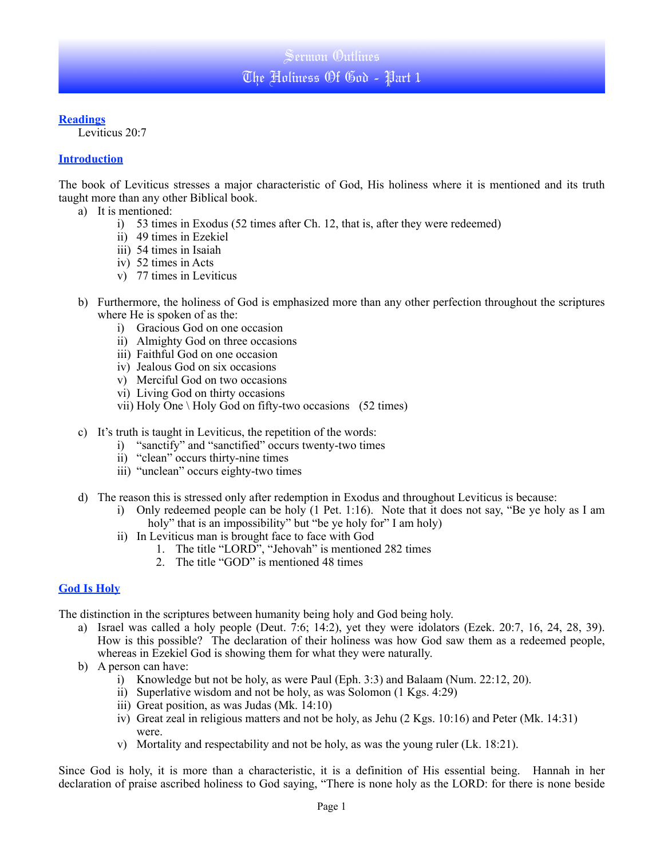### **Readings**

Leviticus 20:7

### **Introduction**

The book of Leviticus stresses a major characteristic of God, His holiness where it is mentioned and its truth taught more than any other Biblical book.

- a) It is mentioned:
	- i) 53 times in Exodus (52 times after Ch. 12, that is, after they were redeemed)
	- ii) 49 times in Ezekiel
	- iii) 54 times in Isaiah
	- iv) 52 times in Acts
	- v) 77 times in Leviticus
- b) Furthermore, the holiness of God is emphasized more than any other perfection throughout the scriptures where He is spoken of as the:
	- i) Gracious God on one occasion
	- ii) Almighty God on three occasions
	- iii) Faithful God on one occasion
	- iv) Jealous God on six occasions
	- v) Merciful God on two occasions
	- vi) Living God on thirty occasions
	- vii) Holy One \ Holy God on fifty-two occasions  $(52 \text{ times})$
- c) It's truth is taught in Leviticus, the repetition of the words:
	- i) "sanctify" and "sanctified" occurs twenty-two times
	- ii) "clean" occurs thirty-nine times
	- iii) "unclean" occurs eighty-two times
- d) The reason this is stressed only after redemption in Exodus and throughout Leviticus is because:
	- i) Only redeemed people can be holy (1 Pet. 1:16). Note that it does not say, "Be ye holy as I am holy" that is an impossibility" but "be ye holy for" I am holy)
	- ii) In Leviticus man is brought face to face with God
		- 1. The title "LORD", "Jehovah" is mentioned 282 times
			- 2. The title "GOD" is mentioned 48 times

## **God Is Holy**

The distinction in the scriptures between humanity being holy and God being holy.

- a) Israel was called a holy people (Deut. 7:6; 14:2), yet they were idolators (Ezek. 20:7, 16, 24, 28, 39). How is this possible? The declaration of their holiness was how God saw them as a redeemed people, whereas in Ezekiel God is showing them for what they were naturally.
- b) A person can have:
	- i) Knowledge but not be holy, as were Paul (Eph. 3:3) and Balaam (Num. 22:12, 20).
	- ii) Superlative wisdom and not be holy, as was Solomon (1 Kgs. 4:29)
	- iii) Great position, as was Judas (Mk. 14:10)
	- iv) Great zeal in religious matters and not be holy, as Jehu (2 Kgs. 10:16) and Peter (Mk. 14:31) were.
	- v) Mortality and respectability and not be holy, as was the young ruler (Lk. 18:21).

Since God is holy, it is more than a characteristic, it is a definition of His essential being. Hannah in her declaration of praise ascribed holiness to God saying, "There is none holy as the LORD: for there is none beside